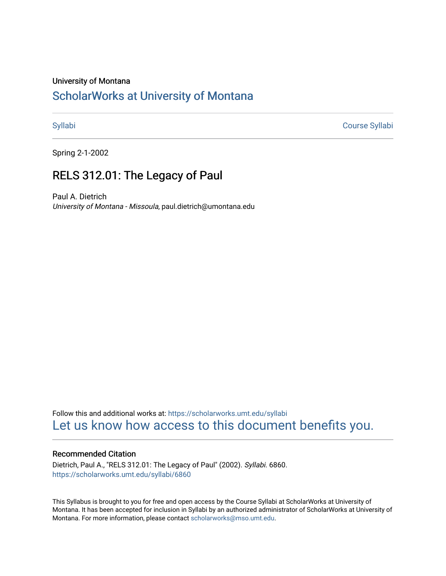### University of Montana

# [ScholarWorks at University of Montana](https://scholarworks.umt.edu/)

[Syllabi](https://scholarworks.umt.edu/syllabi) [Course Syllabi](https://scholarworks.umt.edu/course_syllabi) 

Spring 2-1-2002

## RELS 312.01: The Legacy of Paul

Paul A. Dietrich University of Montana - Missoula, paul.dietrich@umontana.edu

Follow this and additional works at: [https://scholarworks.umt.edu/syllabi](https://scholarworks.umt.edu/syllabi?utm_source=scholarworks.umt.edu%2Fsyllabi%2F6860&utm_medium=PDF&utm_campaign=PDFCoverPages)  [Let us know how access to this document benefits you.](https://goo.gl/forms/s2rGfXOLzz71qgsB2) 

#### Recommended Citation

Dietrich, Paul A., "RELS 312.01: The Legacy of Paul" (2002). Syllabi. 6860. [https://scholarworks.umt.edu/syllabi/6860](https://scholarworks.umt.edu/syllabi/6860?utm_source=scholarworks.umt.edu%2Fsyllabi%2F6860&utm_medium=PDF&utm_campaign=PDFCoverPages)

This Syllabus is brought to you for free and open access by the Course Syllabi at ScholarWorks at University of Montana. It has been accepted for inclusion in Syllabi by an authorized administrator of ScholarWorks at University of Montana. For more information, please contact [scholarworks@mso.umt.edu.](mailto:scholarworks@mso.umt.edu)